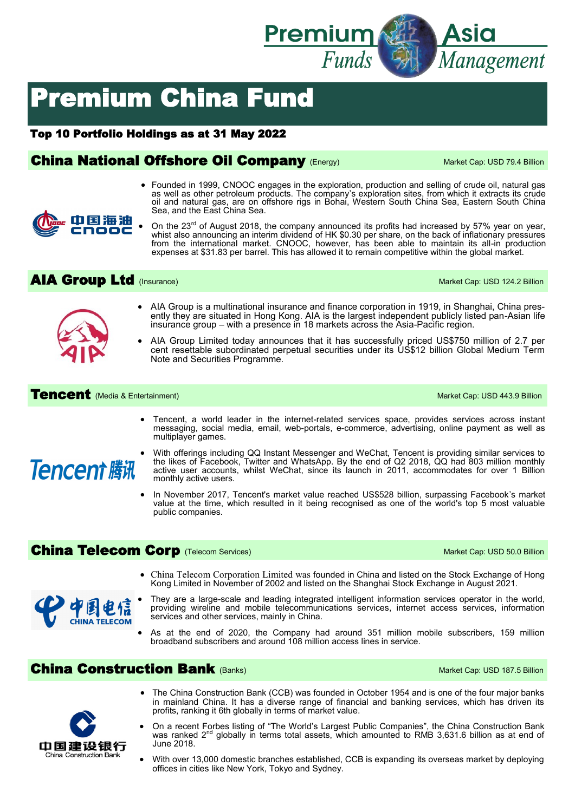

# Premium China Fund

#### Top 10 Portfolio Holdings as at 31 May 2022

## **China National Offshore Oil Company (Energy)** Market Cap: USD 79.4 Billion

- Founded in 1999, CNOOC engages in the exploration, production and selling of crude oil, natural gas as well as other petroleum products. The company's exploration sites, from which it extracts its crude oil and natural gas, are on offshore rigs in Bohai, Western South China Sea, Eastern South China Sea, and the East China Sea.
- On the 23<sup>rd</sup> of August 2018, the company announced its profits had increased by 57% year on year, whist also announcing an interim dividend of HK \$0.30 per share, on the back of inflationary pressures from the international market. CNOOC, however, has been able to maintain its all-in production expenses at \$31.83 per barrel. This has allowed it to remain competitive within the global market.

#### AIA Group Ltd (Insurance) and the Capital Capital Capital Capital Capital Capital Capital Capital Capital Capital Capital Capital Capital Capital Capital Capital Capital Capital Capital Capital Capital Capital Capital Capi

中国海油



- AIA Group is a multinational insurance and finance corporation in 1919, in Shanghai, China presently they are situated in Hong Kong. AIA is the largest independent publicly listed pan-Asian life insurance group – with a presence in 18 markets across the Asia-Pacific region.
- AIA Group Limited today announces that it has successfully priced US\$750 million of 2.7 per cent resettable subordinated perpetual securities under its US\$12 billion Global Medium Term Note and Securities Programme.

#### **Tencent** (Media & Entertainment) Market Cap: USD 443.9 Billion

• Tencent, a world leader in the internet-related services space, provides services across instant messaging, social media, email, web-portals, e-commerce, advertising, online payment as well as multiplayer games.



- With offerings including QQ Instant Messenger and WeChat, Tencent is providing similar services to the likes of Facebook, Twitter and WhatsApp. By the end of Q2 2018, QQ had 803 million monthly active user accounts, whilst WeChat, since its launch in 2011, accommodates for over 1 Billion monthly active users.
- In November 2017, Tencent's market value reached US\$528 billion, surpassing Facebook's market value at the time, which resulted in it being recognised as one of the world's top 5 most valuable public companies.

## China Telecom Corp (Telecom Services) Market Cap: USD 50.0 Billion

- China Telecom Corporation Limited was founded in China and listed on the Stock Exchange of Hong Kong Limited in November of 2002 and listed on the Shanghai Stock Exchange in August 2021.
- They are a large-scale and leading integrated intelligent information services operator in the world, providing wireline and mobile telecommunications services, internet access services, information services and other services, mainly in China.
- As at the end of 2020, the Company had around 351 million mobile subscribers, 159 million broadband subscribers and around 108 million access lines in service.

#### **China Construction Bank** (Banks) Market Cap: USD 187.5 Billion



/関电 CHINA TELECOM

- The China Construction Bank (CCB) was founded in October 1954 and is one of the four major banks in mainland China. It has a diverse range of financial and banking services, which has driven its profits, ranking it 6th globally in terms of market value.
- On a recent Forbes listing of "The World's Largest Public Companies", the China Construction Bank was ranked 2<sup>nd</sup> globally in terms total assets, which amounted to RMB 3,631.6 billion as at end of June 2018.
- With over 13,000 domestic branches established, CCB is expanding its overseas market by deploying offices in cities like New York, Tokyo and Sydney.